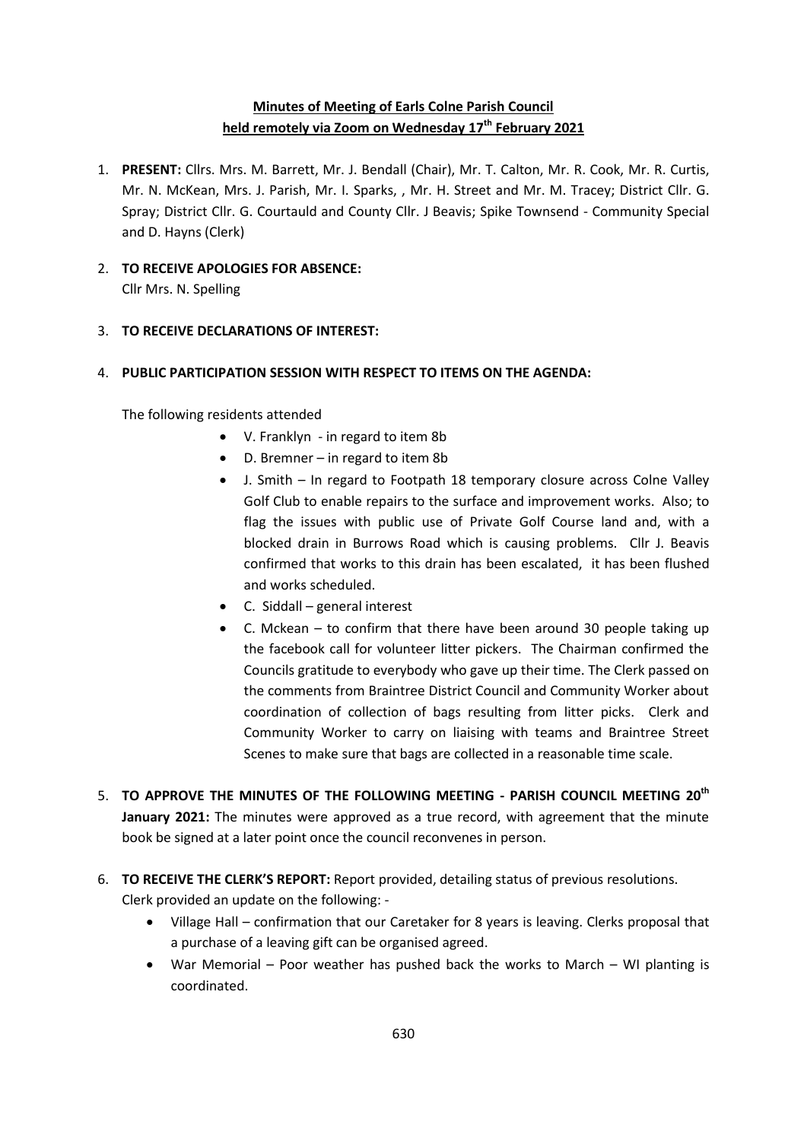## **Minutes of Meeting of Earls Colne Parish Council held remotely via Zoom on Wednesday 17th February 2021**

- 1. **PRESENT:** Cllrs. Mrs. M. Barrett, Mr. J. Bendall (Chair), Mr. T. Calton, Mr. R. Cook, Mr. R. Curtis, Mr. N. McKean, Mrs. J. Parish, Mr. I. Sparks, , Mr. H. Street and Mr. M. Tracey; District Cllr. G. Spray; District Cllr. G. Courtauld and County Cllr. J Beavis; Spike Townsend - Community Special and D. Hayns (Clerk)
- 2. **TO RECEIVE APOLOGIES FOR ABSENCE:**

Cllr Mrs. N. Spelling

## 3. **TO RECEIVE DECLARATIONS OF INTEREST:**

## 4. **PUBLIC PARTICIPATION SESSION WITH RESPECT TO ITEMS ON THE AGENDA:**

The following residents attended

- V. Franklyn in regard to item 8b
- D. Bremner in regard to item 8b
- J. Smith In regard to Footpath 18 temporary closure across Colne Valley Golf Club to enable repairs to the surface and improvement works. Also; to flag the issues with public use of Private Golf Course land and, with a blocked drain in Burrows Road which is causing problems. Cllr J. Beavis confirmed that works to this drain has been escalated, it has been flushed and works scheduled.
- C. Siddall general interest
- C. Mckean to confirm that there have been around 30 people taking up the facebook call for volunteer litter pickers. The Chairman confirmed the Councils gratitude to everybody who gave up their time. The Clerk passed on the comments from Braintree District Council and Community Worker about coordination of collection of bags resulting from litter picks. Clerk and Community Worker to carry on liaising with teams and Braintree Street Scenes to make sure that bags are collected in a reasonable time scale.
- 5. **TO APPROVE THE MINUTES OF THE FOLLOWING MEETING - PARISH COUNCIL MEETING 20th January 2021:** The minutes were approved as a true record, with agreement that the minute book be signed at a later point once the council reconvenes in person.
- 6. **TO RECEIVE THE CLERK'S REPORT:** Report provided, detailing status of previous resolutions. Clerk provided an update on the following: -
	- Village Hall confirmation that our Caretaker for 8 years is leaving. Clerks proposal that a purchase of a leaving gift can be organised agreed.
	- War Memorial Poor weather has pushed back the works to March WI planting is coordinated.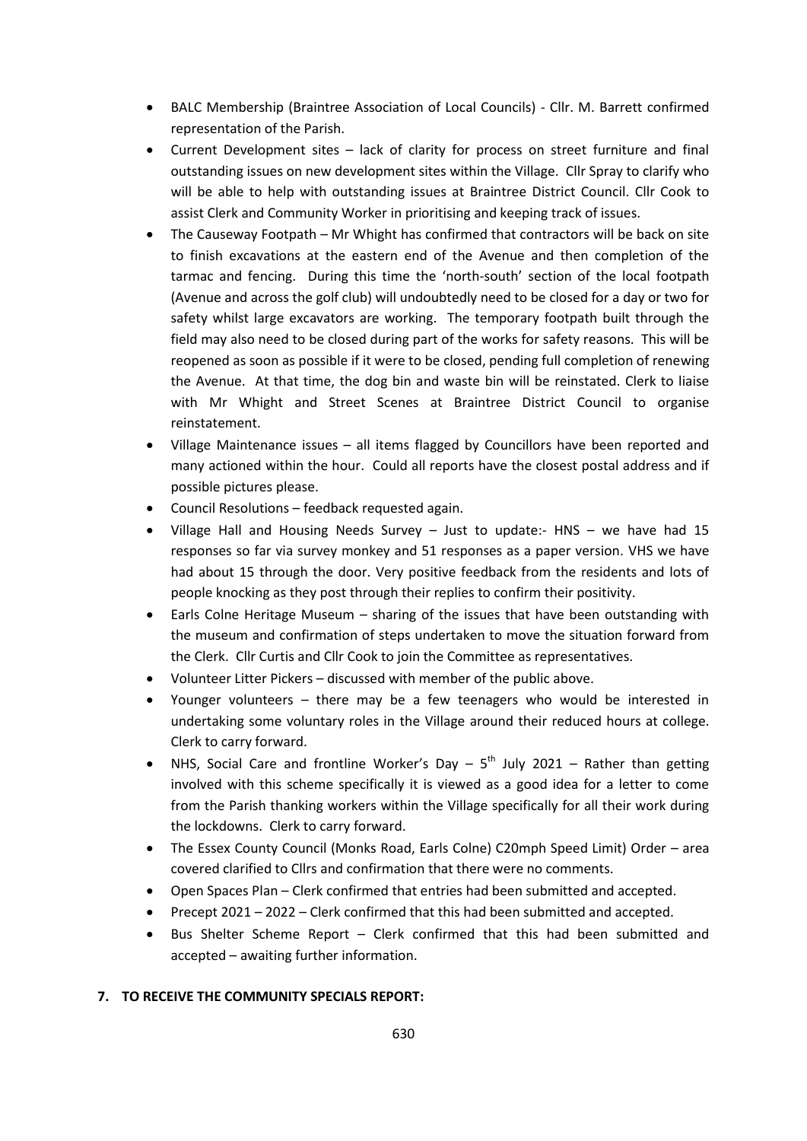- BALC Membership (Braintree Association of Local Councils) Cllr. M. Barrett confirmed representation of the Parish.
- Current Development sites lack of clarity for process on street furniture and final outstanding issues on new development sites within the Village. Cllr Spray to clarify who will be able to help with outstanding issues at Braintree District Council. Cllr Cook to assist Clerk and Community Worker in prioritising and keeping track of issues.
- The Causeway Footpath Mr Whight has confirmed that contractors will be back on site to finish excavations at the eastern end of the Avenue and then completion of the tarmac and fencing. During this time the 'north-south' section of the local footpath (Avenue and across the golf club) will undoubtedly need to be closed for a day or two for safety whilst large excavators are working. The temporary footpath built through the field may also need to be closed during part of the works for safety reasons. This will be reopened as soon as possible if it were to be closed, pending full completion of renewing the Avenue. At that time, the dog bin and waste bin will be reinstated. Clerk to liaise with Mr Whight and Street Scenes at Braintree District Council to organise reinstatement.
- Village Maintenance issues all items flagged by Councillors have been reported and many actioned within the hour. Could all reports have the closest postal address and if possible pictures please.
- Council Resolutions feedback requested again.
- Village Hall and Housing Needs Survey Just to update:- HNS we have had 15 responses so far via survey monkey and 51 responses as a paper version. VHS we have had about 15 through the door. Very positive feedback from the residents and lots of people knocking as they post through their replies to confirm their positivity.
- Earls Colne Heritage Museum sharing of the issues that have been outstanding with the museum and confirmation of steps undertaken to move the situation forward from the Clerk. Cllr Curtis and Cllr Cook to join the Committee as representatives.
- Volunteer Litter Pickers discussed with member of the public above.
- Younger volunteers there may be a few teenagers who would be interested in undertaking some voluntary roles in the Village around their reduced hours at college. Clerk to carry forward.
- NHS, Social Care and frontline Worker's Day  $-5^{th}$  July 2021 Rather than getting involved with this scheme specifically it is viewed as a good idea for a letter to come from the Parish thanking workers within the Village specifically for all their work during the lockdowns. Clerk to carry forward.
- The Essex County Council (Monks Road, Earls Colne) C20mph Speed Limit) Order area covered clarified to Cllrs and confirmation that there were no comments.
- Open Spaces Plan Clerk confirmed that entries had been submitted and accepted.
- Precept 2021 2022 Clerk confirmed that this had been submitted and accepted.
- Bus Shelter Scheme Report Clerk confirmed that this had been submitted and accepted – awaiting further information.

#### **7. TO RECEIVE THE COMMUNITY SPECIALS REPORT:**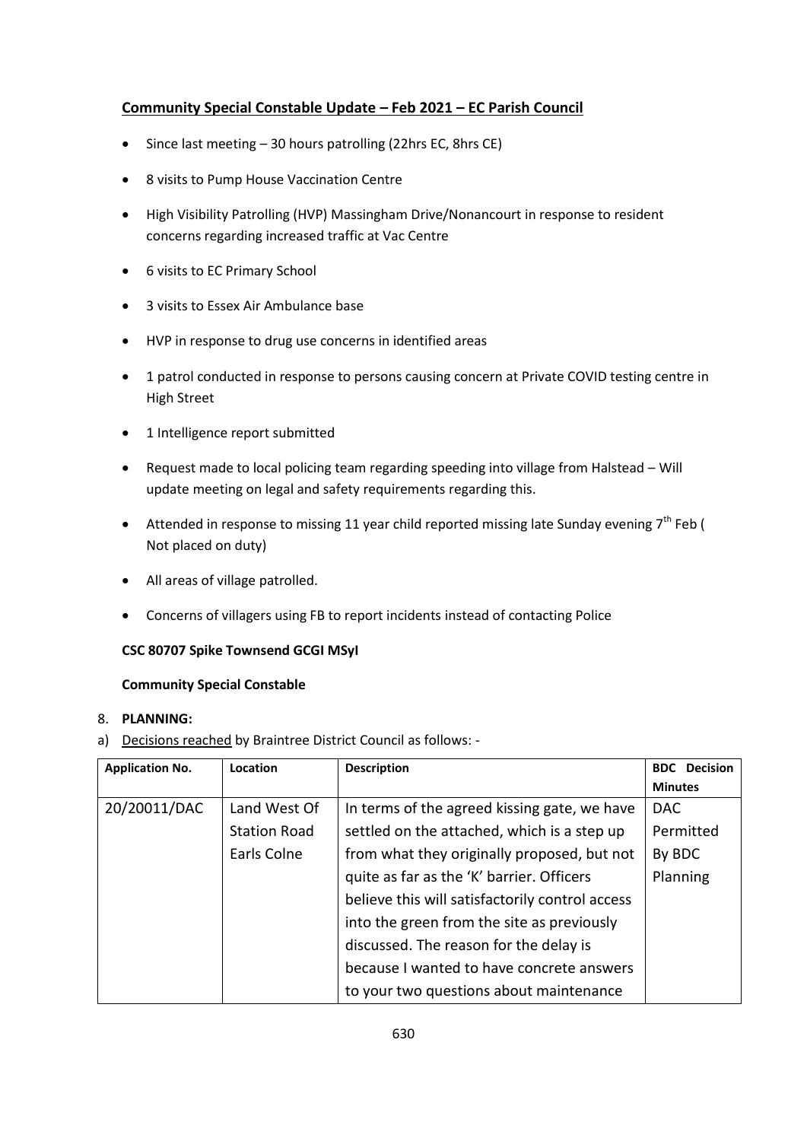## **Community Special Constable Update – Feb 2021 – EC Parish Council**

- Since last meeting 30 hours patrolling (22hrs EC, 8hrs CE)
- 8 visits to Pump House Vaccination Centre
- High Visibility Patrolling (HVP) Massingham Drive/Nonancourt in response to resident concerns regarding increased traffic at Vac Centre
- 6 visits to EC Primary School
- 3 visits to Essex Air Ambulance base
- HVP in response to drug use concerns in identified areas
- 1 patrol conducted in response to persons causing concern at Private COVID testing centre in High Street
- 1 Intelligence report submitted
- Request made to local policing team regarding speeding into village from Halstead Will update meeting on legal and safety requirements regarding this.
- Attended in response to missing 11 year child reported missing late Sunday evening  $7<sup>th</sup>$  Feb ( Not placed on duty)
- All areas of village patrolled.
- Concerns of villagers using FB to report incidents instead of contacting Police

#### **CSC 80707 Spike Townsend GCGI MSyI**

#### **Community Special Constable**

#### 8. **PLANNING:**

a) Decisions reached by Braintree District Council as follows: -

| <b>Application No.</b> | Location            | <b>Description</b>                              | <b>BDC</b> Decision |
|------------------------|---------------------|-------------------------------------------------|---------------------|
|                        |                     |                                                 | <b>Minutes</b>      |
| 20/20011/DAC           | Land West Of        | In terms of the agreed kissing gate, we have    | <b>DAC</b>          |
|                        | <b>Station Road</b> | settled on the attached, which is a step up     | Permitted           |
|                        | Earls Colne         | from what they originally proposed, but not     | By BDC              |
|                        |                     | quite as far as the 'K' barrier. Officers       | Planning            |
|                        |                     | believe this will satisfactorily control access |                     |
|                        |                     | into the green from the site as previously      |                     |
|                        |                     | discussed. The reason for the delay is          |                     |
|                        |                     | because I wanted to have concrete answers       |                     |
|                        |                     | to your two questions about maintenance         |                     |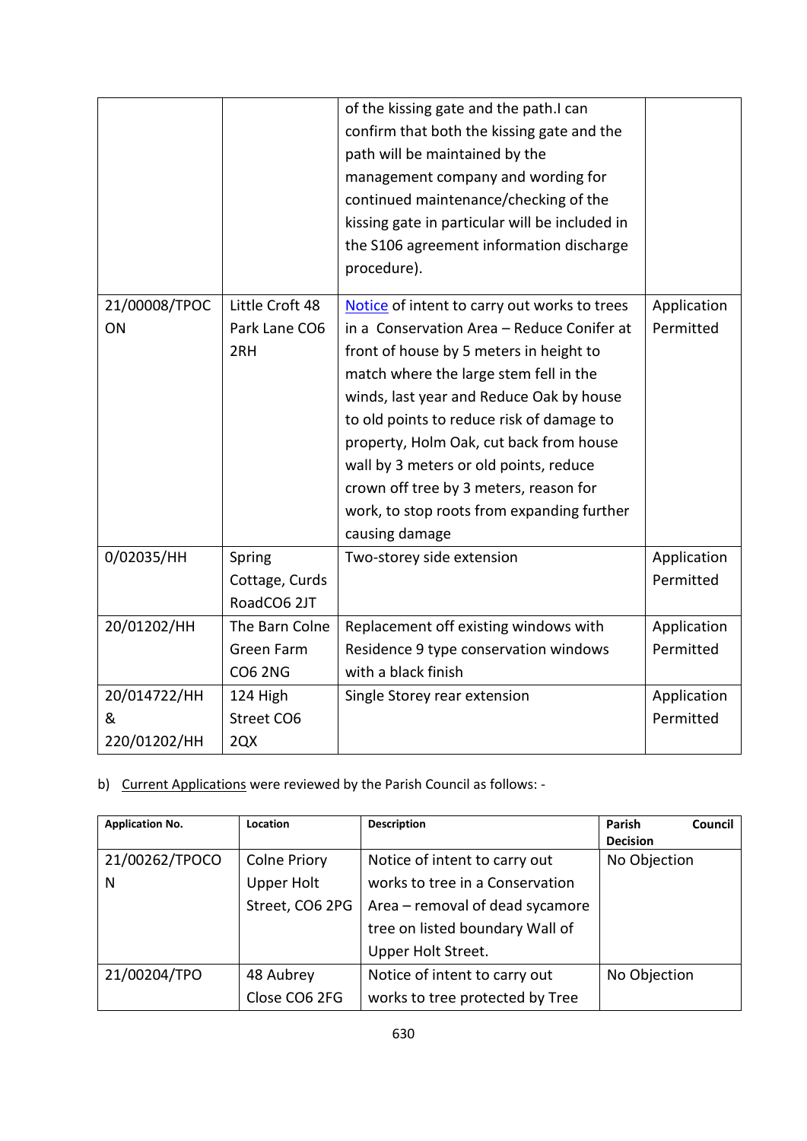|               |                 | of the kissing gate and the path.I can         |             |
|---------------|-----------------|------------------------------------------------|-------------|
|               |                 | confirm that both the kissing gate and the     |             |
|               |                 | path will be maintained by the                 |             |
|               |                 | management company and wording for             |             |
|               |                 | continued maintenance/checking of the          |             |
|               |                 | kissing gate in particular will be included in |             |
|               |                 | the S106 agreement information discharge       |             |
|               |                 | procedure).                                    |             |
| 21/00008/TPOC | Little Croft 48 | Notice of intent to carry out works to trees   | Application |
| ON            | Park Lane CO6   | in a Conservation Area - Reduce Conifer at     | Permitted   |
|               | 2RH             | front of house by 5 meters in height to        |             |
|               |                 | match where the large stem fell in the         |             |
|               |                 | winds, last year and Reduce Oak by house       |             |
|               |                 | to old points to reduce risk of damage to      |             |
|               |                 | property, Holm Oak, cut back from house        |             |
|               |                 | wall by 3 meters or old points, reduce         |             |
|               |                 | crown off tree by 3 meters, reason for         |             |
|               |                 | work, to stop roots from expanding further     |             |
|               |                 | causing damage                                 |             |
| 0/02035/HH    | Spring          | Two-storey side extension                      | Application |
|               | Cottage, Curds  |                                                | Permitted   |
|               | RoadCO6 2JT     |                                                |             |
| 20/01202/HH   | The Barn Colne  | Replacement off existing windows with          | Application |
|               | Green Farm      | Residence 9 type conservation windows          | Permitted   |
|               | <b>CO6 2NG</b>  | with a black finish                            |             |
| 20/014722/HH  | 124 High        | Single Storey rear extension                   | Application |
| &             | Street CO6      |                                                | Permitted   |
| 220/01202/HH  | 2QX             |                                                |             |

b) Current Applications were reviewed by the Parish Council as follows: -

| <b>Application No.</b> | Location            | <b>Description</b>              | Parish<br>Council<br><b>Decision</b> |
|------------------------|---------------------|---------------------------------|--------------------------------------|
| 21/00262/TPOCO         | <b>Colne Priory</b> | Notice of intent to carry out   | No Objection                         |
| N                      | <b>Upper Holt</b>   | works to tree in a Conservation |                                      |
|                        | Street, CO6 2PG     | Area - removal of dead sycamore |                                      |
|                        |                     | tree on listed boundary Wall of |                                      |
|                        |                     | Upper Holt Street.              |                                      |
| 21/00204/TPO           | 48 Aubrey           | Notice of intent to carry out   | No Objection                         |
|                        | Close CO6 2FG       | works to tree protected by Tree |                                      |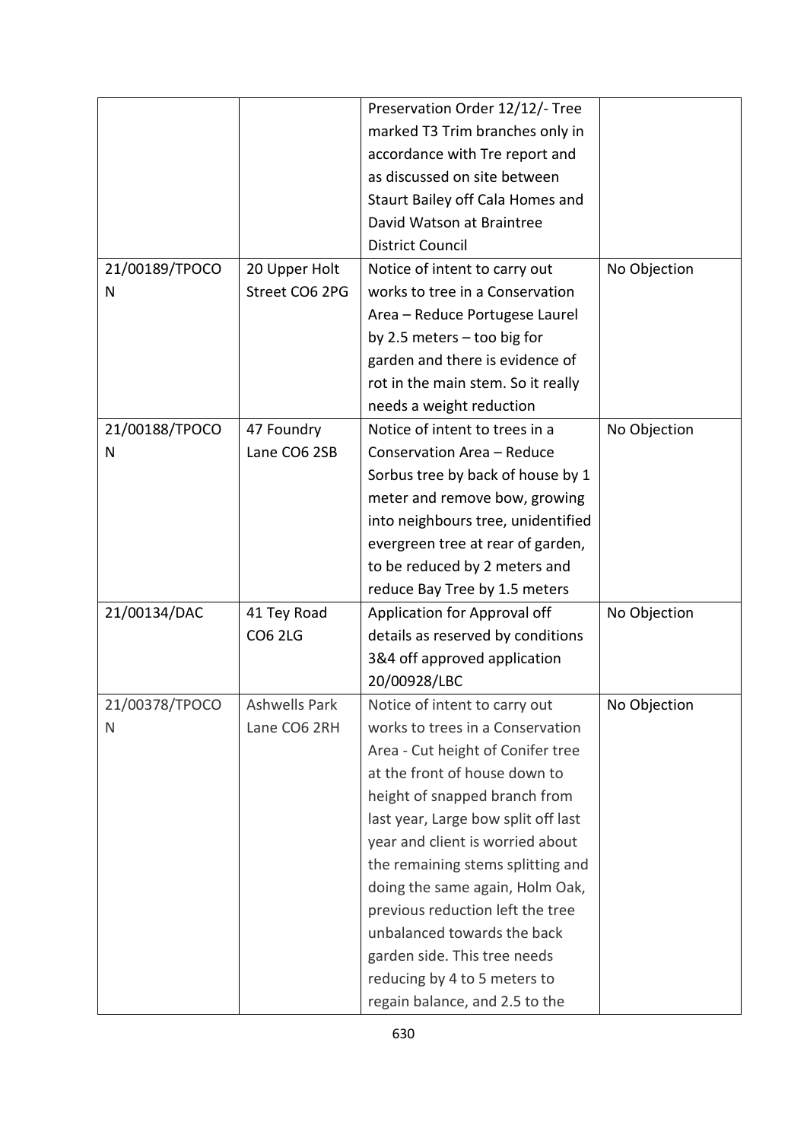|                |                      | Preservation Order 12/12/- Tree     |              |
|----------------|----------------------|-------------------------------------|--------------|
|                |                      | marked T3 Trim branches only in     |              |
|                |                      | accordance with Tre report and      |              |
|                |                      | as discussed on site between        |              |
|                |                      | Staurt Bailey off Cala Homes and    |              |
|                |                      | David Watson at Braintree           |              |
|                |                      | <b>District Council</b>             |              |
| 21/00189/TPOCO | 20 Upper Holt        | Notice of intent to carry out       | No Objection |
| N              | Street CO6 2PG       | works to tree in a Conservation     |              |
|                |                      | Area - Reduce Portugese Laurel      |              |
|                |                      | by 2.5 meters - too big for         |              |
|                |                      | garden and there is evidence of     |              |
|                |                      | rot in the main stem. So it really  |              |
|                |                      | needs a weight reduction            |              |
| 21/00188/TPOCO | 47 Foundry           | Notice of intent to trees in a      | No Objection |
| N              | Lane CO6 2SB         | Conservation Area - Reduce          |              |
|                |                      | Sorbus tree by back of house by 1   |              |
|                |                      | meter and remove bow, growing       |              |
|                |                      | into neighbours tree, unidentified  |              |
|                |                      | evergreen tree at rear of garden,   |              |
|                |                      | to be reduced by 2 meters and       |              |
|                |                      | reduce Bay Tree by 1.5 meters       |              |
| 21/00134/DAC   | 41 Tey Road          | Application for Approval off        | No Objection |
|                | <b>CO6 2LG</b>       | details as reserved by conditions   |              |
|                |                      | 3&4 off approved application        |              |
|                |                      | 20/00928/LBC                        |              |
| 21/00378/TPOCO | <b>Ashwells Park</b> | Notice of intent to carry out       | No Objection |
| N              | Lane CO6 2RH         | works to trees in a Conservation    |              |
|                |                      | Area - Cut height of Conifer tree   |              |
|                |                      | at the front of house down to       |              |
|                |                      | height of snapped branch from       |              |
|                |                      | last year, Large bow split off last |              |
|                |                      | year and client is worried about    |              |
|                |                      | the remaining stems splitting and   |              |
|                |                      | doing the same again, Holm Oak,     |              |
|                |                      | previous reduction left the tree    |              |
|                |                      | unbalanced towards the back         |              |
|                |                      | garden side. This tree needs        |              |
|                |                      | reducing by 4 to 5 meters to        |              |
|                |                      | regain balance, and 2.5 to the      |              |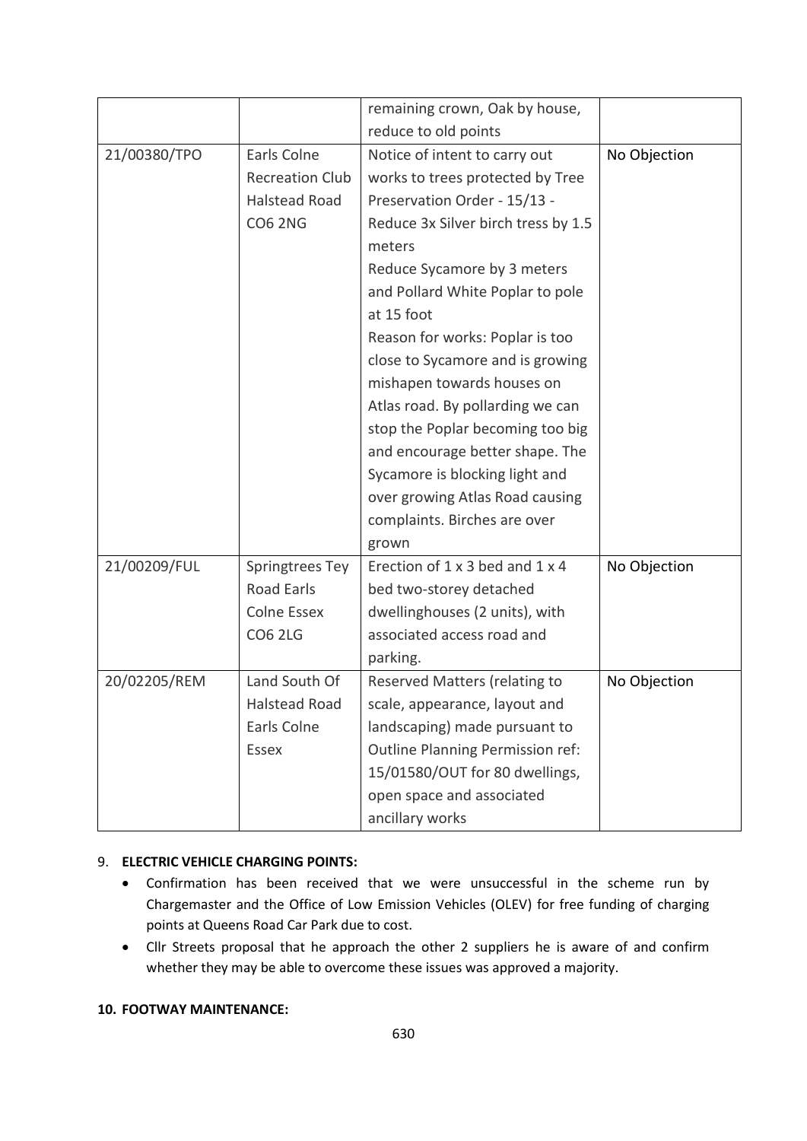|              |                        | remaining crown, Oak by house,      |              |
|--------------|------------------------|-------------------------------------|--------------|
|              |                        | reduce to old points                |              |
| 21/00380/TPO | Earls Colne            | Notice of intent to carry out       | No Objection |
|              | <b>Recreation Club</b> | works to trees protected by Tree    |              |
|              | Halstead Road          | Preservation Order - 15/13 -        |              |
|              | <b>CO6 2NG</b>         | Reduce 3x Silver birch tress by 1.5 |              |
|              |                        | meters                              |              |
|              |                        | Reduce Sycamore by 3 meters         |              |
|              |                        | and Pollard White Poplar to pole    |              |
|              |                        | at 15 foot                          |              |
|              |                        | Reason for works: Poplar is too     |              |
|              |                        | close to Sycamore and is growing    |              |
|              |                        | mishapen towards houses on          |              |
|              |                        | Atlas road. By pollarding we can    |              |
|              |                        | stop the Poplar becoming too big    |              |
|              |                        | and encourage better shape. The     |              |
|              |                        | Sycamore is blocking light and      |              |
|              |                        | over growing Atlas Road causing     |              |
|              |                        | complaints. Birches are over        |              |
|              |                        | grown                               |              |
| 21/00209/FUL | Springtrees Tey        | Erection of 1 x 3 bed and 1 x 4     | No Objection |
|              | Road Earls             | bed two-storey detached             |              |
|              | Colne Essex            | dwellinghouses (2 units), with      |              |
|              | <b>CO6 2LG</b>         | associated access road and          |              |
|              |                        | parking.                            |              |
| 20/02205/REM | Land South Of          | Reserved Matters (relating to       | No Objection |
|              | <b>Halstead Road</b>   | scale, appearance, layout and       |              |
|              | Earls Colne            | landscaping) made pursuant to       |              |
|              | Essex                  | Outline Planning Permission ref:    |              |
|              |                        | 15/01580/OUT for 80 dwellings,      |              |
|              |                        | open space and associated           |              |
|              |                        | ancillary works                     |              |

### 9. **ELECTRIC VEHICLE CHARGING POINTS:**

- Confirmation has been received that we were unsuccessful in the scheme run by Chargemaster and the Office of Low Emission Vehicles (OLEV) for free funding of charging points at Queens Road Car Park due to cost.
- Cllr Streets proposal that he approach the other 2 suppliers he is aware of and confirm whether they may be able to overcome these issues was approved a majority.

#### **10. FOOTWAY MAINTENANCE:**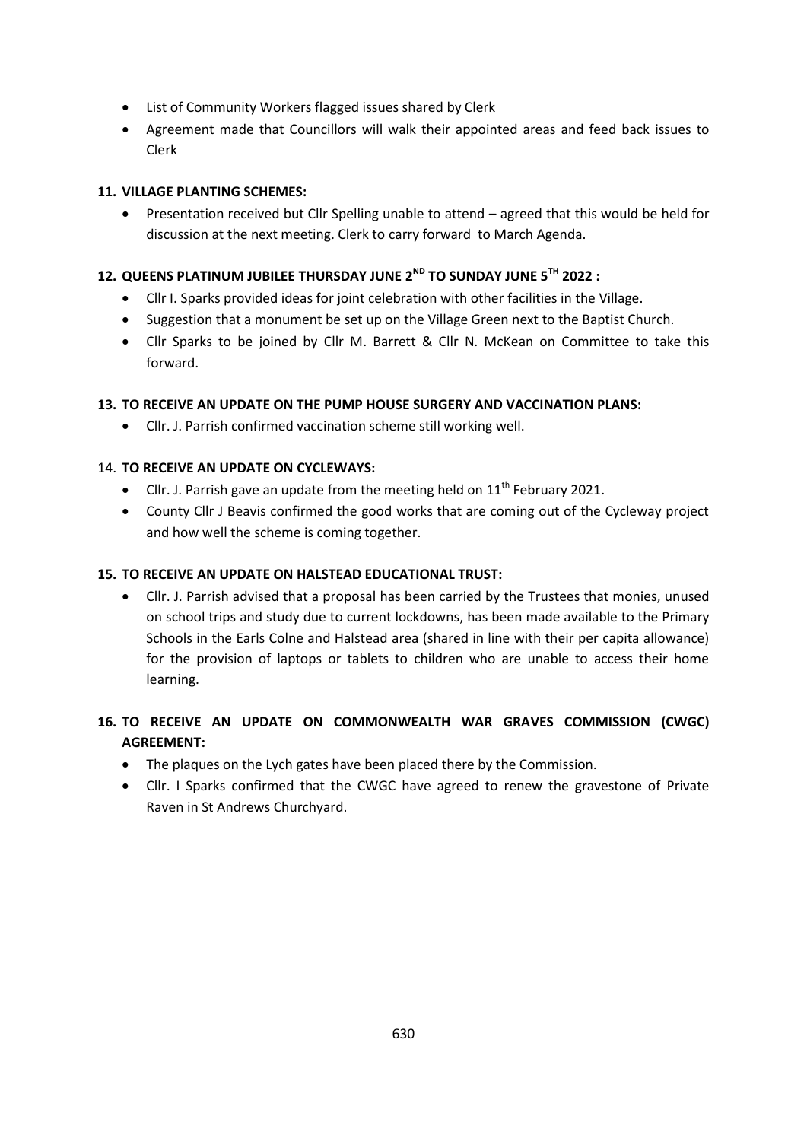- List of Community Workers flagged issues shared by Clerk
- Agreement made that Councillors will walk their appointed areas and feed back issues to Clerk

## **11. VILLAGE PLANTING SCHEMES:**

 Presentation received but Cllr Spelling unable to attend – agreed that this would be held for discussion at the next meeting. Clerk to carry forward to March Agenda.

## **12. QUEENS PLATINUM JUBILEE THURSDAY JUNE 2ND TO SUNDAY JUNE 5TH 2022 :**

- Cllr I. Sparks provided ideas for joint celebration with other facilities in the Village.
- Suggestion that a monument be set up on the Village Green next to the Baptist Church.
- Cllr Sparks to be joined by Cllr M. Barrett & Cllr N. McKean on Committee to take this forward.

## **13. TO RECEIVE AN UPDATE ON THE PUMP HOUSE SURGERY AND VACCINATION PLANS:**

Cllr. J. Parrish confirmed vaccination scheme still working well.

### 14. **TO RECEIVE AN UPDATE ON CYCLEWAYS:**

- Cllr. J. Parrish gave an update from the meeting held on  $11<sup>th</sup>$  February 2021.
- County Cllr J Beavis confirmed the good works that are coming out of the Cycleway project and how well the scheme is coming together.

### **15. TO RECEIVE AN UPDATE ON HALSTEAD EDUCATIONAL TRUST:**

 Cllr. J. Parrish advised that a proposal has been carried by the Trustees that monies, unused on school trips and study due to current lockdowns, has been made available to the Primary Schools in the Earls Colne and Halstead area (shared in line with their per capita allowance) for the provision of laptops or tablets to children who are unable to access their home learning.

# **16. TO RECEIVE AN UPDATE ON COMMONWEALTH WAR GRAVES COMMISSION (CWGC) AGREEMENT:**

- The plaques on the Lych gates have been placed there by the Commission.
- Cllr. I Sparks confirmed that the CWGC have agreed to renew the gravestone of Private Raven in St Andrews Churchyard.